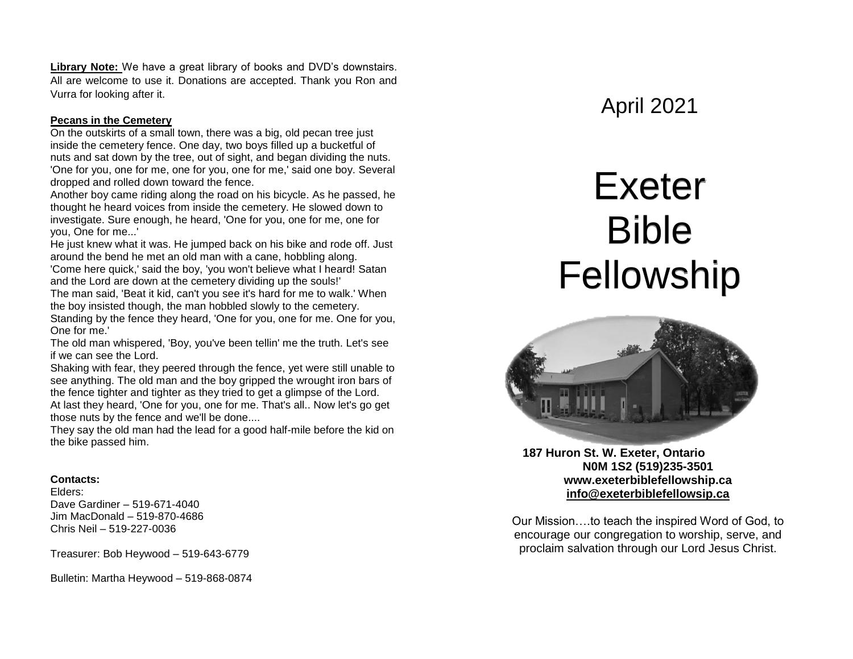**Library Note:** We have a great library of books and DVD's downstairs. All are welcome to use it. Donations are accepted. Thank you Ron and Vurra for looking after it.

#### **Pecans in the Cemetery**

On the outskirts of a small town, there was a big, old pecan tree just inside the cemetery fence. One day, two boys filled up a bucketful of nuts and sat down by the tree, out of sight, and began dividing the nuts. 'One for you, one for me, one for you, one for me,' said one boy. Several dropped and rolled down toward the fence.

Another boy came riding along the road on his bicycle. As he passed, he thought he heard voices from inside the cemetery. He slowed down to investigate. Sure enough, he heard, 'One for you, one for me, one for you, One for me...'

He just knew what it was. He jumped back on his bike and rode off. Just around the bend he met an old man with a cane, hobbling along. 'Come here quick,' said the boy, 'you won't believe what I heard! Satan and the Lord are down at the cemetery dividing up the souls!'

The man said, 'Beat it kid, can't you see it's hard for me to walk.' When the boy insisted though, the man hobbled slowly to the cemetery. Standing by the fence they heard, 'One for you, one for me. One for you, One for me.'

The old man whispered, 'Boy, you've been tellin' me the truth. Let's see if we can see the Lord.

Shaking with fear, they peered through the fence, yet were still unable to see anything. The old man and the boy gripped the wrought iron bars of the fence tighter and tighter as they tried to get a glimpse of the Lord. At last they heard, 'One for you, one for me. That's all.. Now let's go get those nuts by the fence and we'll be done....

They say the old man had the lead for a good half-mile before the kid on the bike passed him.

#### **Contacts:**

Elders: Dave Gardiner – 519-671-4040 Jim MacDonald – 519-870-4686 Chris Neil – 519-227-0036

Treasurer: Bob Heywood – 519-643-6779

Bulletin: Martha Heywood – 519-868-0874

# April 2021

# Exeter Bible Fellowship



 **187 Huron St. W. Exeter, Ontario N0M 1S2 (519)235-3501 www.exeterbiblefellowship.ca [info@exeterbiblefellowsip.ca](mailto:info@exeterbiblefellowsip.ca)**

Our Mission….to teach the inspired Word of God, to encourage our congregation to worship, serve, and proclaim salvation through our Lord Jesus Christ.